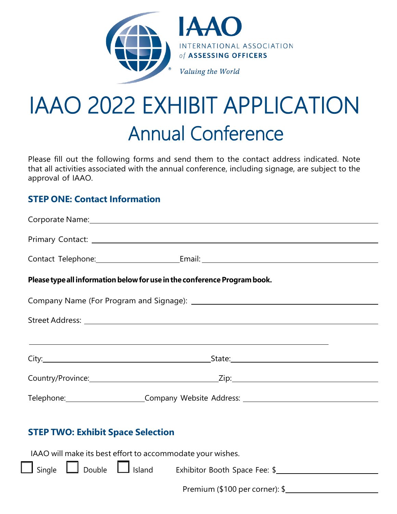

# IAAO 2022 EXHIBIT APPLICATION Annual Conference

Please fill out the following forms and send them to the contact address indicated. Note that all activities associated with the annual conference, including signage, are subject to the approval of IAAO.

# **STEP ONE: Contact Information**

|                                                            | Please type all information below for use in the conference Program book.                                                                                                                                                            |  |
|------------------------------------------------------------|--------------------------------------------------------------------------------------------------------------------------------------------------------------------------------------------------------------------------------------|--|
|                                                            |                                                                                                                                                                                                                                      |  |
|                                                            |                                                                                                                                                                                                                                      |  |
|                                                            | <u>and the second control of the second control of the second control of the second control of the second control of the second control of the second control of the second control of the second control of the second control </u> |  |
|                                                            |                                                                                                                                                                                                                                      |  |
|                                                            |                                                                                                                                                                                                                                      |  |
|                                                            | Telephone: Company Website Address: Telephone: Company Website Address:                                                                                                                                                              |  |
| <b>STEP TWO: Exhibit Space Selection</b>                   |                                                                                                                                                                                                                                      |  |
| IAAO will make its best effort to accommodate your wishes. |                                                                                                                                                                                                                                      |  |
|                                                            | Single Double Julisland Exhibitor Booth Space Fee: \$                                                                                                                                                                                |  |
|                                                            |                                                                                                                                                                                                                                      |  |

Premium (\$100 per corner): \$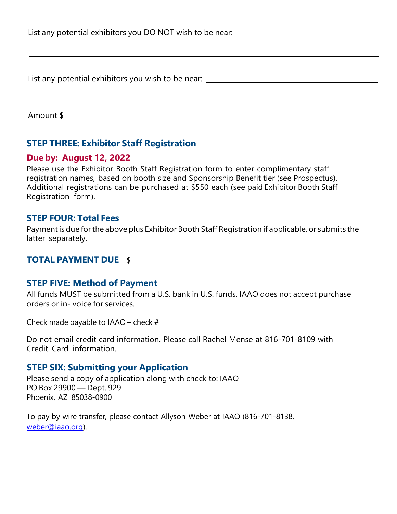| List any potential exhibitors you DO NOT wish to be near:                        |  |  |
|----------------------------------------------------------------------------------|--|--|
|                                                                                  |  |  |
|                                                                                  |  |  |
| List any potential exhibitors you wish to be near: _____________________________ |  |  |
|                                                                                  |  |  |
| Amount \$                                                                        |  |  |

### **STEP THREE: Exhibitor Staff Registration**

#### **Due by: August 12, 2022**

Please use the Exhibitor Booth Staff Registration form to enter complimentary staff registration names, based on booth size and Sponsorship Benefit tier (see Prospectus). Additional registrations can be purchased at \$550 each (see paid Exhibitor Booth Staff Registration form).

#### **STEP FOUR: Total Fees**

Payment is due for the above plus Exhibitor Booth Staff Registration if applicable, or submits the latter separately.

#### **TOTAL PAYMENT DUE** \$

#### **STEP FIVE: Method of Payment**

All funds MUST be submitted from a U.S. bank in U.S. funds. IAAO does not accept purchase orders or in- voice for services.

Check made payable to IAAO – check #

Do not email credit card information. Please call Rachel Mense at 816-701-8109 with Credit Card information.

#### **STEP SIX: Submitting your Application**

Please send a copy of application along with check to: IAAO PO Box 29900 — Dept. 929 Phoenix, AZ 85038-0900

To pay by wire transfer, please contact Allyson Weber at IAAO (816-701-8138, weber@iaao.org).